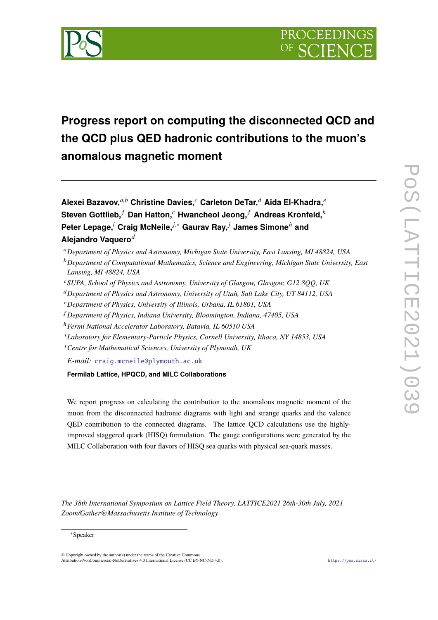

## **Progress report on computing the disconnected QCD and the QCD plus QED hadronic contributions to the muon's anomalous magnetic moment**

**Alexei Bazavov,***a*,*<sup>b</sup>* **Christine Davies,***<sup>c</sup>* **Carleton DeTar,***<sup>d</sup>* **Aida El-Khadra,***<sup>e</sup>*  $\mathsf{Steven}$  Gottlieb, $^f$  Dan Hatton, $^c$  Hwancheol Jeong, $^f$  Andreas Kronfeld, $^h$ **Peter Lepage,***<sup>i</sup>* **Craig McNeile,***j*,<sup>∗</sup> **Gaurav Ray,***<sup>j</sup>* **James Simone***<sup>h</sup>* **and Alejandro Vaquero***<sup>d</sup>*

- <sup>b</sup>*Department of Computational Mathematics, Science and Engineering, Michigan State University, East Lansing, MI 48824, USA*
- <sup>c</sup>*SUPA, School of Physics and Astronomy, University of Glasgow, Glasgow, G12 8QQ, UK*
- <sup>d</sup>*Department of Physics and Astronomy, University of Utah, Salt Lake City, UT 84112, USA*
- <sup>e</sup>*Department of Physics, University of Illinois, Urbana, IL 61801, USA*
- <sup>f</sup> *Department of Physics, Indiana University, Bloomington, Indiana, 47405, USA*
- <sup>h</sup>*Fermi National Accelerator Laboratory, Batavia, IL 60510 USA*
- <sup>i</sup>*Laboratory for Elementary-Particle Physics, Cornell University, Ithaca, NY 14853, USA*
- <sup>j</sup>*Centre for Mathematical Sciences, University of Plymouth, UK*

*E-mail:* [craig.mcneile@plymouth.ac.uk](mailto:craig.mcneile@plymouth.ac.uk)

**Fermilab Lattice, HPQCD, and MILC Collaborations**

We report progress on calculating the contribution to the anomalous magnetic moment of the muon from the disconnected hadronic diagrams with light and strange quarks and the valence QED contribution to the connected diagrams. The lattice QCD calculations use the highlyimproved staggered quark (HISQ) formulation. The gauge configurations were generated by the MILC Collaboration with four flavors of HISQ sea quarks with physical sea-quark masses.

*The 38th International Symposium on Lattice Field Theory, LATTICE2021 26th-30th July, 2021 Zoom/Gather@Massachusetts Institute of Technology*

© Copyright owned by the author(s) under the terms of the Creative Commons Attribution-NonCommercial-NoDerivatives 4.0 International License (CC BY-NC-ND 4.0). <https://pos.sissa.it/>

<sup>a</sup>*Department of Physics and Astronomy, Michigan State University, East Lansing, MI 48824, USA*

<sup>∗</sup>Speaker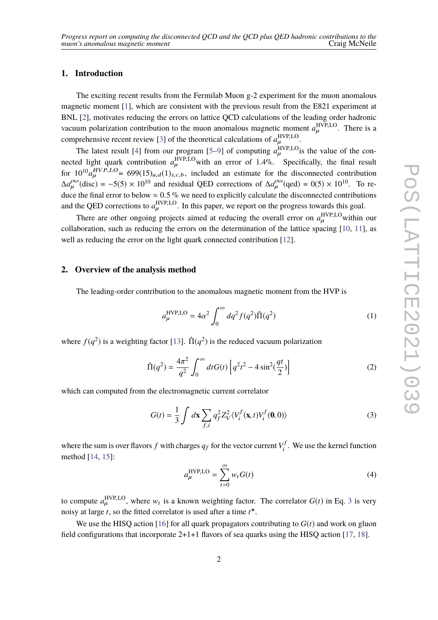### **1. Introduction**

The exciting recent results from the Fermilab Muon g-2 experiment for the muon anomalous magnetic moment [\[1\]](#page-6-0), which are consistent with the previous result from the E821 experiment at BNL [\[2\]](#page-6-1), motivates reducing the errors on lattice QCD calculations of the leading order hadronic vacuum polarization contribution to the muon anomalous magnetic moment  $a_{\mu}^{\text{HVP,LO}}$ . There is a comprehensive recent review [\[3\]](#page-6-2) of the theoretical calculations of  $a_{\mu}^{\text{HVPLO}}$ .

The latest result [\[4\]](#page-6-3) from our program [\[5–](#page-6-4)[9\]](#page-7-0) of computing  $a_{\mu}^{\text{HVPLO}}$  is the value of the connected light quark contribution  $a_{\mu}^{\text{HVP},\text{LO}}$  with an error of 1.4%. Specifically, the final result for  $10^{10} a_{\mu}^{HVP,LO} = 699(15)_{\mu,d}(1)_{s,c,b}$ , included an estimate for the disconnected contribution  $\Delta a_\mu^{\rho\omega}$ (disc) = −5(5) × 10<sup>10</sup> and residual QED corrections of  $\Delta a_\mu^{\rho\omega}$ (qed) = 0(5) × 10<sup>10</sup>. To reduce the final error to below  $\approx 0.5$  % we need to explicitly calculate the disconnected contributions and the QED corrections to  $a_{\mu}^{\text{HVP,LO}}$ . In this paper, we report on the progress towards this goal.

There are other ongoing projects aimed at reducing the overall error on  $a_{\mu}^{\text{HVP},\text{LO}}$  within our hearties and a projects aimed at a distance is the distance of the lattice and in 110, 111 and collaboration, such as reducing the errors on the determination of the lattice spacing [\[10,](#page-7-1) [11\]](#page-7-2), as well as reducing the error on the light quark connected contribution [\[12\]](#page-7-3).

## **2. Overview of the analysis method**

The leading-order contribution to the anomalous magnetic moment from the HVP is

$$
a_{\mu}^{\text{HVP,LO}} = 4\alpha^2 \int_0^\infty dq^2 f(q^2) \hat{\Pi}(q^2)
$$
 (1)

where  $f(q^2)$  is a weighting factor [\[13\]](#page-7-4).  $\hat{\Pi}(q^2)$  is the reduced vacuum polarization

$$
\hat{\Pi}(q^2) = \frac{4\pi^2}{q^2} \int_0^\infty dt G(t) \left[ q^2 t^2 - 4\sin^2(\frac{qt}{2}) \right] \tag{2}
$$

which can computed from the electromagnetic current correlator

<span id="page-1-0"></span>
$$
G(t) = \frac{1}{3} \int d\mathbf{x} \sum_{f,i} q_f^2 Z_V^2 \langle V_i^f(\mathbf{x}, t) V_i^f(\mathbf{0}, 0) \rangle
$$
 (3)

where the sum is over flavors  $f$  with charges  $q_f$  for the vector current  $V_i^f$  $\frac{d}{i}$ . We use the kernel function method [\[14,](#page-7-5) [15\]](#page-7-6):

<span id="page-1-1"></span>
$$
a_{\mu}^{\text{HVP,LO}} = \sum_{t=0}^{\infty} w_t G(t) \tag{4}
$$

to compute  $a_{\mu}^{\text{HVP},\text{LO}}$ , where  $w_t$  is a known weighting factor. The correlator  $G(t)$  in Eq. [3](#page-1-0) is very noisy at large *t*, so the fitted correlator is used after a time  $t^*$ .

We use the HISQ action [\[16\]](#page-7-7) for all quark propagators contributing to  $G(t)$  and work on gluon field configurations that incorporate  $2+1+1$  flavors of sea quarks using the HISQ action [\[17,](#page-7-8) [18\]](#page-7-9).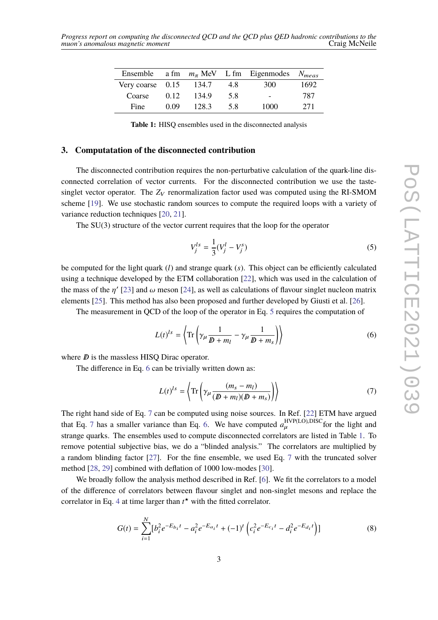<span id="page-2-3"></span>

|                    |      |       |     | Ensemble a fm $m_{\pi}$ MeV L fm Eigenmodes $N_{meas}$ |      |
|--------------------|------|-------|-----|--------------------------------------------------------|------|
| Very coarse $0.15$ |      | 134.7 | 4.8 | 300                                                    | 1692 |
| Coarse             | 0.12 | 134.9 | 5.8 | $\overline{\phantom{0}}$                               | 787  |
| Fine               | 0.09 | 128.3 | 5.8 | 1000                                                   | 271  |

**Table 1:** HISQ ensembles used in the disconnected analysis

#### **3. Computatation of the disconnected contribution**

The disconnected contribution requires the non-perturbative calculation of the quark-line disconnected correlation of vector currents. For the disconnected contribution we use the tastesinglet vector operator. The  $Z_V$  renormalization factor used was computed using the RI-SMOM scheme [\[19\]](#page-7-10). We use stochastic random sources to compute the required loops with a variety of variance reduction techniques [\[20,](#page-7-11) [21\]](#page-7-12).

The SU(3) structure of the vector current requires that the loop for the operator

<span id="page-2-0"></span>
$$
V_j^{ls} = \frac{1}{3}(V_j^l - V_j^s)
$$
 (5)

be computed for the light quark (*l*) and strange quark (*s*). This object can be efficiently calculated using a technique developed by the ETM collaboration [\[22\]](#page-7-13), which was used in the calculation of the mass of the  $\eta'$  [\[23\]](#page-7-14) and  $\omega$  meson [\[24\]](#page-7-15), as well as calculations of flavour singlet nucleon matrix<br>clamatic [25]. This mathed has also heap represent and further developed by Giusti at al. [26] elements [\[25\]](#page-7-16). This method has also been proposed and further developed by Giusti et al. [\[26\]](#page-7-17).

The measurement in QCD of the loop of the operator in Eq. [5](#page-2-0) requires the computation of

<span id="page-2-1"></span>
$$
L(t)^{ls} = \left\langle \text{Tr}\left(\gamma_{\mu} \frac{1}{\mathcal{D} + m_{l}} - \gamma_{\mu} \frac{1}{\mathcal{D} + m_{s}}\right) \right\rangle \tag{6}
$$

where  *is the massless HISQ Dirac operator.* 

The difference in Eq. [6](#page-2-1) can be trivially written down as:

<span id="page-2-2"></span>
$$
L(t)^{ls} = \left\langle \text{Tr}\left(\gamma_{\mu} \frac{(m_s - m_l)}{(D + m_l)(D + m_s)}\right) \right\rangle \tag{7}
$$

The right hand side of Eq. [7](#page-2-2) can be computed using noise sources. In Ref. [\[22\]](#page-7-13) ETM have argued that Eq. [7](#page-2-2) has a smaller variance than Eq. [6.](#page-2-1) We have computed  $a_{\mu}^{\text{HVP(LO),DISC}}$  for the light and strange quarks. The ensembles used to compute disconnected correlators are listed in Table [1.](#page-2-3) To remove potential subjective bias, we do a "blinded analysis." The correlators are multiplied by a random blinding factor [\[27\]](#page-7-18). For the fine ensemble, we used Eq. [7](#page-2-2) with the truncated solver method [\[28,](#page-8-0) [29\]](#page-8-1) combined with deflation of 1000 low-modes [\[30\]](#page-8-2).

We broadly follow the analysis method described in Ref. [\[6\]](#page-7-19). We fit the correlators to a model of the difference of correlators between flavour singlet and non-singlet mesons and replace the correlator in Eq. [4](#page-1-1) at time larger than  $t^*$  with the fitted correlator.

$$
G(t) = \sum_{i=1}^{N} [b_i^2 e^{-E_{b_i}t} - a_i^2 e^{-E_{a_i}t} + (-1)^t \left(c_i^2 e^{-E_{c_i}t} - d_i^2 e^{-E_{d_i}t}\right)]
$$
(8)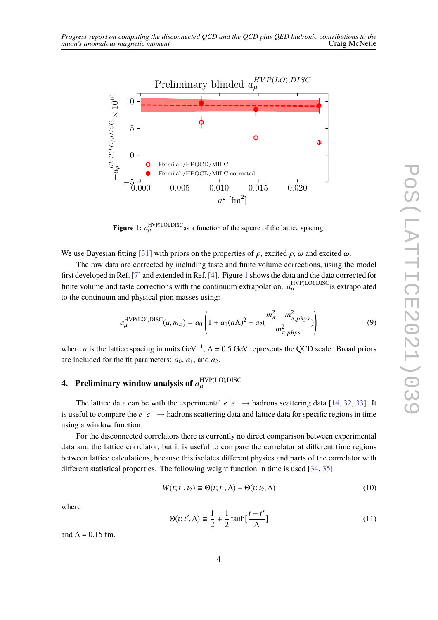<span id="page-3-0"></span>

**Figure 1:**  $a_{\mu}^{\text{HVP(LO),DISC}}$  as a function of the square of the lattice spacing.

We use Bayesian fitting [\[31\]](#page-8-3) with priors on the properties of  $\rho$ , excited  $\rho$ ,  $\omega$  and excited  $\omega$ .

The raw data are corrected by including taste and finite volume corrections, using the model first developed in Ref. [\[7\]](#page-7-20) and extended in Ref. [\[4\]](#page-6-3). Figure [1](#page-3-0) shows the data and the data corrected for finite volume and taste corrections with the continuum extrapolation.  $a_{\mu}^{\text{HVP(LO),DISC}}$  is extrapolated to the continuum and physical pion masses using:

$$
a_{\mu}^{\text{HVP(LO),DISC}}(a, m_{\pi}) = a_0 \left( 1 + a_1 (a \Lambda)^2 + a_2 (\frac{m_{\pi}^2 - m_{\pi, phys}^2}{m_{\pi,phys}^2}) \right)
$$
(9)

where *a* is the lattice spacing in units GeV<sup>-1</sup>,  $\Lambda$  = 0.5 GeV represents the QCD scale. Broad priors are included for the fit parameters:  $a_0$ ,  $a_1$ , and  $a_2$ .

## **4. Preliminary window analysis of**  $a_{\mu}^{\text{HVP(LO),DISC}}$

The lattice data can be with the experimental  $e^+e^- \rightarrow$  hadrons scattering data [\[14,](#page-7-5) [32,](#page-8-4) [33\]](#page-8-5). It is useful to compare the  $e^+e^- \rightarrow$  hadrons scattering data and lattice data for specific regions in time using a window function.

 $\mathcal{L}$ 

For the disconnected correlators there is currently no direct comparison between experimental data and the lattice correlator, but it is useful to compare the correlator at different time regions between lattice calculations, because this isolates different physics and parts of the correlator with different statistical properties. The following weight function in time is used [\[34,](#page-8-6) [35\]](#page-8-7)

<span id="page-3-1"></span>
$$
W(t; t_1, t_2) \equiv \Theta(t; t_1, \Delta) - \Theta(t; t_2, \Delta)
$$
\n(10)

where

$$
\Theta(t; t', \Delta) \equiv \frac{1}{2} + \frac{1}{2} \tanh\left[\frac{t - t'}{\Delta}\right]
$$
 (11)

and  $\Delta$  = 0.15 fm.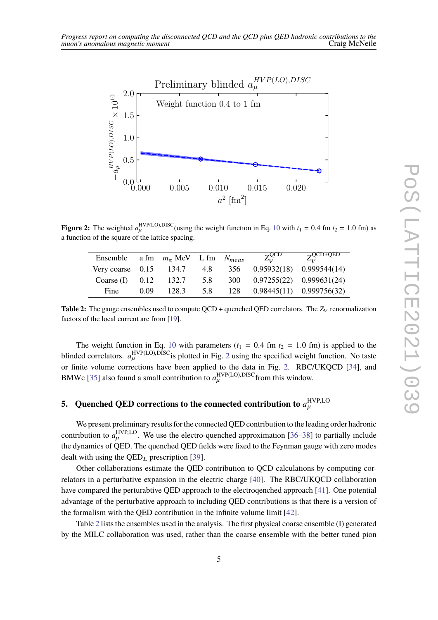<span id="page-4-0"></span>

<span id="page-4-1"></span>**Figure 2:** The weighted  $a_{\mu}^{\text{HVP(LO)},\text{DISC}}$  (using the weight function in Eq. [10](#page-3-1) with  $t_1 = 0.4$  fm  $t_2 = 1.0$  fm) as a function of the square of the lattice spacing.

| Ensemble a fm $m_{\pi}$ MeV L fm $N_{meas}$ |      |       |     |     | $Z_V^{\rm QCD}$ | $Z_{V}^{\text{QCD+QED}}$       |
|---------------------------------------------|------|-------|-----|-----|-----------------|--------------------------------|
| Very coarse $0.15$ 134.7                    |      |       | 4.8 | 356 |                 | $0.95932(18)$ $0.999544(14)$   |
| Coarse (I) $0.12$ 132.7                     |      |       | 5.8 |     |                 | 300  0.97255(22)  0.999631(24) |
| Fine                                        | 0.09 | 128.3 | 5.8 |     |                 | $128$ 0.98445(11) 0.999756(32) |

**Table 2:** The gauge ensembles used to compute  $QCD +$  quenched QED correlators. The  $Z_V$  renormalization factors of the local current are from [\[19\]](#page-7-10).

The weight function in Eq. [10](#page-3-1) with parameters  $(t_1 = 0.4 \text{ fm } t_2 = 1.0 \text{ fm})$  is applied to the blinded correlators.  $a_{\mu}^{\text{HVP(LO),DISC}}$  is plotted in Fig. [2](#page-4-0) using the specified weight function. No taste or finite volume corrections have been applied to the data in Fig. [2.](#page-4-0) RBC/UKQCD [\[34\]](#page-8-6), and BMWc [\[35\]](#page-8-7) also found a small contribution to  $a_{\mu}^{\text{HVP(LO)},\text{DISC}}$  from this window.

# **5.** Quenched QED corrections to the connected contribution to  $a_{\mu}^{\text{HVP,LO}}$

We present preliminary results for the connected QED contribution to the leading order hadronic contribution to  $a_{\mu}^{\text{HVP,LO}}$ . We use the electro-quenched approximation [\[36](#page-8-8)[–38\]](#page-8-9) to partially include the dynamics of QED. The quenched QED fields were fixed to the Feynman gauge with zero modes dealt with using the  $QED<sub>L</sub>$  prescription [\[39\]](#page-8-10).

Other collaborations estimate the QED contribution to QCD calculations by computing correlators in a perturbative expansion in the electric charge [\[40\]](#page-8-11). The RBC/UKQCD collaboration have compared the perturabtive QED approach to the electroqenched approach [\[41\]](#page-8-12). One potential advantage of the perturbative approach to including QED contributions is that there is a version of the formalism with the QED contribution in the infinite volume limit [\[42\]](#page-8-13).

Table [2](#page-4-1) lists the ensembles used in the analysis. The first physical coarse ensemble (I) generated by the MILC collaboration was used, rather than the coarse ensemble with the better tuned pion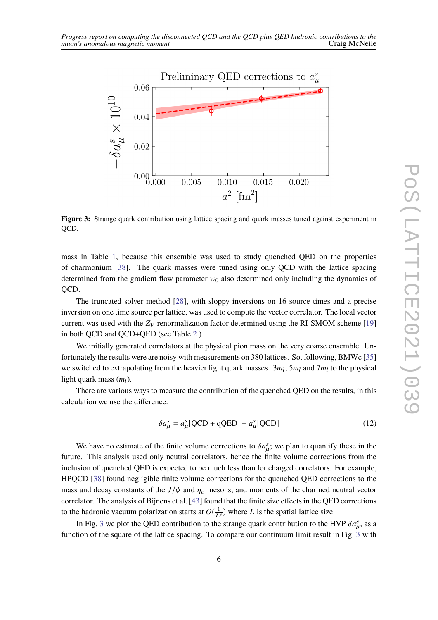<span id="page-5-0"></span>

**Figure 3:** Strange quark contribution using lattice spacing and quark masses tuned against experiment in QCD.

mass in Table [1,](#page-2-3) because this ensemble was used to study quenched QED on the properties of charmonium [\[38\]](#page-8-9). The quark masses were tuned using only QCD with the lattice spacing determined from the gradient flow parameter  $w_0$  also determined only including the dynamics of QCD.

The truncated solver method [\[28\]](#page-8-0), with sloppy inversions on 16 source times and a precise inversion on one time source per lattice, was used to compute the vector correlator. The local vector current was used with the  $Z_V$  renormalization factor determined using the RI-SMOM scheme [\[19\]](#page-7-10) in both QCD and QCD+QED (see Table [2.](#page-4-1))

We initially generated correlators at the physical pion mass on the very coarse ensemble. Unfortunately the results were are noisy with measurements on 380 lattices. So, following, BMWc [\[35\]](#page-8-7) we switched to extrapolating from the heavier light quark masses:  $3m_l$ ,  $5m_l$  and  $7m_l$  to the physical light quark mass  $(m_l)$ .

There are various ways to measure the contribution of the quenched QED on the results, in this calculation we use the difference.

$$
\delta a_{\mu}^{s} = a_{\mu}^{s} [\text{QCD} + \text{qQED}] - a_{\mu}^{s} [\text{QCD}] \tag{12}
$$

We have no estimate of the finite volume corrections to  $\delta a_{\mu}^s$ ; we plan to quantify these in the future. This analysis used only neutral correlators, hence the finite volume corrections from the inclusion of quenched QED is expected to be much less than for charged correlators. For example, HPQCD [\[38\]](#page-8-9) found negligible finite volume corrections for the quenched QED corrections to the mass and decay constants of the  $J/\psi$  and  $\eta_c$  mesons, and moments of the charmed neutral vector correlator. The analysis of Bijnens et al. [\[43\]](#page-8-14) found that the finite size effects in the QED corrections to the hadronic vacuum polarization starts at  $O(\frac{1}{L^3})$  where *L* is the spatial lattice size.

In Fig. [3](#page-5-0) we plot the QED contribution to the strange quark contribution to the HVP  $\delta a_{\mu}^{s}$ , as a sting of the square of the lattice enoring. To compare our continuum limit result in Fig. 2 with function of the square of the lattice spacing. To compare our continuum limit result in Fig. [3](#page-5-0) with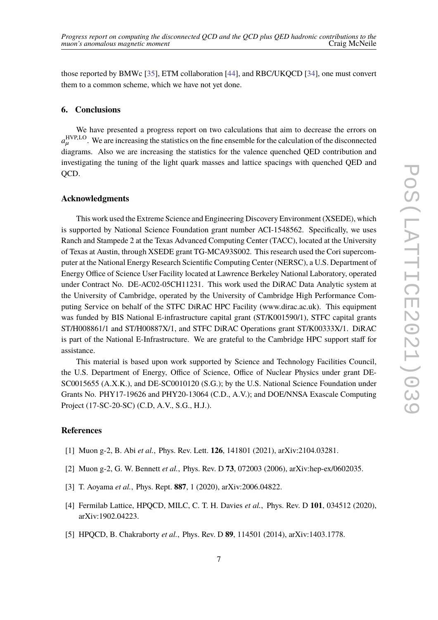those reported by BMWc [\[35\]](#page-8-7), ETM collaboration [\[44\]](#page-8-15), and RBC/UKQCD [\[34\]](#page-8-6), one must convert them to a common scheme, which we have not yet done.

## **6. Conclusions**

We have presented a progress report on two calculations that aim to decrease the errors on  $a_{\mu}^{\text{HVP,LO}}$ . We are increasing the statistics on the fine ensemble for the calculation of the disconnected  $\mu$ . diagrams. Also we are increasing the statistics for the valence quenched QED contribution and investigating the tuning of the light quark masses and lattice spacings with quenched QED and OCD.

## **Acknowledgments**

This work used the Extreme Science and Engineering Discovery Environment (XSEDE), which is supported by National Science Foundation grant number ACI-1548562. Specifically, we uses Ranch and Stampede 2 at the Texas Advanced Computing Center (TACC), located at the University of Texas at Austin, through XSEDE grant TG-MCA93S002. This research used the Cori supercomputer at the National Energy Research Scientific Computing Center (NERSC), a U.S. Department of Energy Office of Science User Facility located at Lawrence Berkeley National Laboratory, operated under Contract No. DE-AC02-05CH11231. This work used the DiRAC Data Analytic system at the University of Cambridge, operated by the University of Cambridge High Performance Computing Service on behalf of the STFC DiRAC HPC Facility (www.dirac.ac.uk). This equipment was funded by BIS National E-infrastructure capital grant (ST/K001590/1), STFC capital grants ST/H008861/1 and ST/H00887X/1, and STFC DiRAC Operations grant ST/K00333X/1. DiRAC is part of the National E-Infrastructure. We are grateful to the Cambridge HPC support staff for assistance.

This material is based upon work supported by Science and Technology Facilities Council, the U.S. Department of Energy, Office of Science, Office of Nuclear Physics under grant DE-SC0015655 (A.X.K.), and DE-SC0010120 (S.G.); by the U.S. National Science Foundation under Grants No. PHY17-19626 and PHY20-13064 (C.D., A.V.); and DOE/NNSA Exascale Computing Project (17-SC-20-SC) (C.D, A.V., S.G., H.J.).

## **References**

- <span id="page-6-0"></span>[1] Muon g-2, B. Abi *et al.*, Phys. Rev. Lett. **126**, 141801 (2021), arXiv:2104.03281.
- <span id="page-6-1"></span>[2] Muon g-2, G. W. Bennett *et al.*, Phys. Rev. D **73**, 072003 (2006), arXiv:hep-ex/0602035.
- <span id="page-6-2"></span>[3] T. Aoyama *et al.*, Phys. Rept. **887**, 1 (2020), arXiv:2006.04822.
- <span id="page-6-3"></span>[4] Fermilab Lattice, HPQCD, MILC, C. T. H. Davies *et al.*, Phys. Rev. D **101**, 034512 (2020), arXiv:1902.04223.
- <span id="page-6-4"></span>[5] HPQCD, B. Chakraborty *et al.*, Phys. Rev. D **89**, 114501 (2014), arXiv:1403.1778.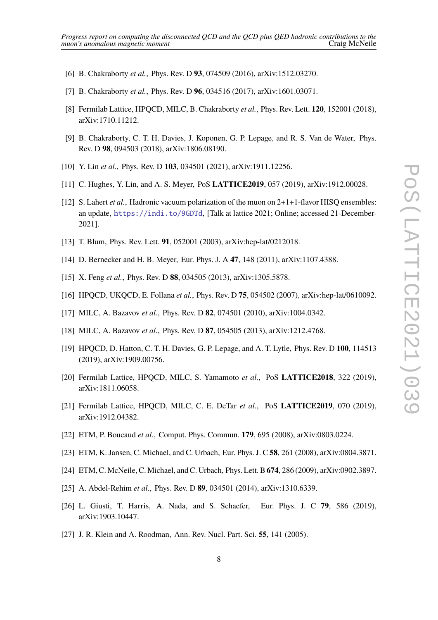- <span id="page-7-19"></span>[6] B. Chakraborty *et al.*, Phys. Rev. D **93**, 074509 (2016), arXiv:1512.03270.
- <span id="page-7-20"></span>[7] B. Chakraborty *et al.*, Phys. Rev. D **96**, 034516 (2017), arXiv:1601.03071.
- [8] Fermilab Lattice, HPQCD, MILC, B. Chakraborty *et al.*, Phys. Rev. Lett. **120**, 152001 (2018), arXiv:1710.11212.
- <span id="page-7-0"></span>[9] B. Chakraborty, C. T. H. Davies, J. Koponen, G. P. Lepage, and R. S. Van de Water, Phys. Rev. D **98**, 094503 (2018), arXiv:1806.08190.
- <span id="page-7-1"></span>[10] Y. Lin *et al.*, Phys. Rev. D **103**, 034501 (2021), arXiv:1911.12256.
- <span id="page-7-2"></span>[11] C. Hughes, Y. Lin, and A. S. Meyer, PoS **LATTICE2019**, 057 (2019), arXiv:1912.00028.
- <span id="page-7-3"></span>[12] S. Lahert *et al.*, Hadronic vacuum polarization of the muon on 2+1+1-flavor HISQ ensembles: an update, <https://indi.to/9GDTd>, [Talk at lattice 2021; Online; accessed 21-December-2021].
- <span id="page-7-4"></span>[13] T. Blum, Phys. Rev. Lett. **91**, 052001 (2003), arXiv:hep-lat/0212018.
- <span id="page-7-5"></span>[14] D. Bernecker and H. B. Meyer, Eur. Phys. J. A **47**, 148 (2011), arXiv:1107.4388.
- <span id="page-7-6"></span>[15] X. Feng *et al.*, Phys. Rev. D **88**, 034505 (2013), arXiv:1305.5878.
- <span id="page-7-7"></span>[16] HPQCD, UKQCD, E. Follana *et al.*, Phys. Rev. D **75**, 054502 (2007), arXiv:hep-lat/0610092.
- <span id="page-7-8"></span>[17] MILC, A. Bazavov *et al.*, Phys. Rev. D **82**, 074501 (2010), arXiv:1004.0342.
- <span id="page-7-9"></span>[18] MILC, A. Bazavov *et al.*, Phys. Rev. D **87**, 054505 (2013), arXiv:1212.4768.
- <span id="page-7-10"></span>[19] HPQCD, D. Hatton, C. T. H. Davies, G. P. Lepage, and A. T. Lytle, Phys. Rev. D **100**, 114513 (2019), arXiv:1909.00756.
- <span id="page-7-11"></span>[20] Fermilab Lattice, HPQCD, MILC, S. Yamamoto *et al.*, PoS **LATTICE2018**, 322 (2019), arXiv:1811.06058.
- <span id="page-7-12"></span>[21] Fermilab Lattice, HPQCD, MILC, C. E. DeTar *et al.*, PoS **LATTICE2019**, 070 (2019), arXiv:1912.04382.
- <span id="page-7-13"></span>[22] ETM, P. Boucaud *et al.*, Comput. Phys. Commun. **179**, 695 (2008), arXiv:0803.0224.
- <span id="page-7-14"></span>[23] ETM, K. Jansen, C. Michael, and C. Urbach, Eur. Phys. J. C **58**, 261 (2008), arXiv:0804.3871.
- <span id="page-7-15"></span>[24] ETM, C. McNeile, C. Michael, and C. Urbach, Phys. Lett. B**674**, 286 (2009), arXiv:0902.3897.
- <span id="page-7-16"></span>[25] A. Abdel-Rehim *et al.*, Phys. Rev. D **89**, 034501 (2014), arXiv:1310.6339.
- <span id="page-7-17"></span>[26] L. Giusti, T. Harris, A. Nada, and S. Schaefer, Eur. Phys. J. C **79**, 586 (2019), arXiv:1903.10447.
- <span id="page-7-18"></span>[27] J. R. Klein and A. Roodman, Ann. Rev. Nucl. Part. Sci. **55**, 141 (2005).